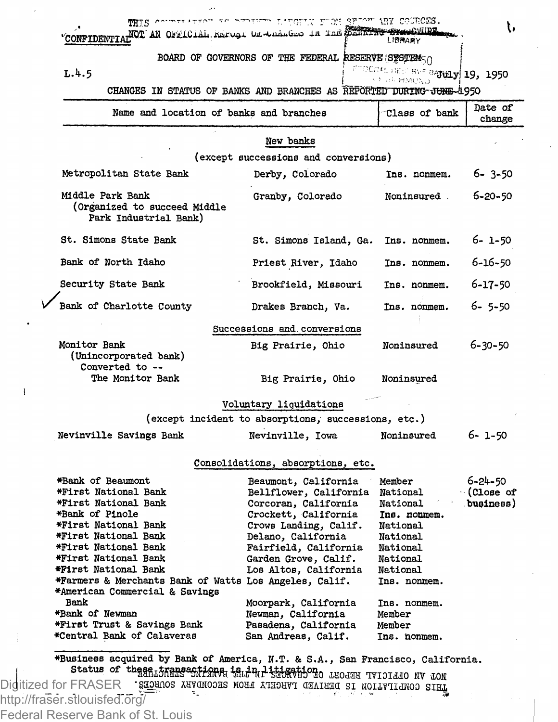| CONFIDENTIAL OF AN OFFICIAL REFUSI DE LA LARGED IN THE ELECTRIC STANDARY                                                                                                                                                                                                                                                                                                                         | THIS COURTER FROM THE PROPERTY IN STAN SELOW ARY COURCES.                                                                                                                                                                                                                                                            |                                                                                                                                                                                |                                   |  |
|--------------------------------------------------------------------------------------------------------------------------------------------------------------------------------------------------------------------------------------------------------------------------------------------------------------------------------------------------------------------------------------------------|----------------------------------------------------------------------------------------------------------------------------------------------------------------------------------------------------------------------------------------------------------------------------------------------------------------------|--------------------------------------------------------------------------------------------------------------------------------------------------------------------------------|-----------------------------------|--|
|                                                                                                                                                                                                                                                                                                                                                                                                  | BOARD OF GOVERNORS OF THE FEDERAL RESERVE SESTEMS                                                                                                                                                                                                                                                                    |                                                                                                                                                                                |                                   |  |
| 1.4.5                                                                                                                                                                                                                                                                                                                                                                                            |                                                                                                                                                                                                                                                                                                                      | $\text{HSE}(\alpha)$ and $\text{RVE}$ and $\text{H}(19, 1950)$                                                                                                                 |                                   |  |
| CHANGES IN STATUS OF BANKS AND BRANCHES AS REPORTED DURING JUNE-1950                                                                                                                                                                                                                                                                                                                             |                                                                                                                                                                                                                                                                                                                      | стин нмедр                                                                                                                                                                     |                                   |  |
| Name and location of banks and branches                                                                                                                                                                                                                                                                                                                                                          |                                                                                                                                                                                                                                                                                                                      | Class of bank                                                                                                                                                                  | Date of<br>change                 |  |
|                                                                                                                                                                                                                                                                                                                                                                                                  | New banks                                                                                                                                                                                                                                                                                                            |                                                                                                                                                                                |                                   |  |
|                                                                                                                                                                                                                                                                                                                                                                                                  | (except successions and conversions)                                                                                                                                                                                                                                                                                 |                                                                                                                                                                                |                                   |  |
| Metropolitan State Bank                                                                                                                                                                                                                                                                                                                                                                          | Derby, Colorado                                                                                                                                                                                                                                                                                                      | Ins. nonmem.                                                                                                                                                                   | 6-3-50                            |  |
| Middle Park Bank<br>(Organized to succeed Middle)<br>Park Industrial Bank)                                                                                                                                                                                                                                                                                                                       | Granby, Colorado                                                                                                                                                                                                                                                                                                     | Noninsured                                                                                                                                                                     | $6 - 20 - 50$                     |  |
| St. Simons State Bank                                                                                                                                                                                                                                                                                                                                                                            | St. Simons Island, Ga.                                                                                                                                                                                                                                                                                               | Ins. nonmem.                                                                                                                                                                   | 6-1-50                            |  |
| Bank of North Idaho                                                                                                                                                                                                                                                                                                                                                                              | Priest River, Idaho                                                                                                                                                                                                                                                                                                  | Ins. nonmem.                                                                                                                                                                   | 6-16-50                           |  |
| Security State Bank                                                                                                                                                                                                                                                                                                                                                                              | Brookfield, Missouri                                                                                                                                                                                                                                                                                                 | Ins. nonmem.                                                                                                                                                                   | 6-17-50                           |  |
| Bank of Charlotte County                                                                                                                                                                                                                                                                                                                                                                         | Drakes Branch, Va.                                                                                                                                                                                                                                                                                                   | Ins. nonmem.                                                                                                                                                                   | 6-5-50                            |  |
|                                                                                                                                                                                                                                                                                                                                                                                                  | Successions and conversions                                                                                                                                                                                                                                                                                          |                                                                                                                                                                                |                                   |  |
| Monitor Bank<br>(Unincorporated bank)<br>Converted to --                                                                                                                                                                                                                                                                                                                                         | Big Prairie, Ohio                                                                                                                                                                                                                                                                                                    | Noninsured                                                                                                                                                                     | $6 - 30 - 50$                     |  |
| The Monitor Bank                                                                                                                                                                                                                                                                                                                                                                                 | Big Prairie, Ohio                                                                                                                                                                                                                                                                                                    | Noninsured                                                                                                                                                                     |                                   |  |
|                                                                                                                                                                                                                                                                                                                                                                                                  | Voluntary liquidations                                                                                                                                                                                                                                                                                               |                                                                                                                                                                                |                                   |  |
|                                                                                                                                                                                                                                                                                                                                                                                                  | (except incident to absorptions, successions, etc.)                                                                                                                                                                                                                                                                  |                                                                                                                                                                                |                                   |  |
| Nevinville Savings Bank                                                                                                                                                                                                                                                                                                                                                                          | Nevinville, Iowa                                                                                                                                                                                                                                                                                                     | Noninsured                                                                                                                                                                     | 6-1-50                            |  |
|                                                                                                                                                                                                                                                                                                                                                                                                  | Consolidations, absorptions, etc.                                                                                                                                                                                                                                                                                    |                                                                                                                                                                                |                                   |  |
| *Bank of Beaumont<br>*First National Bank<br>*First National Bank<br>*Bank of Pinole<br>*First National Bank<br>*First National Bank<br>*First National Bank<br>*First National Bank<br>*First National Bank<br>*Farmers & Merchants Bank of Watts Los Angeles, Calif.<br>*American Commercial & Savings<br>Bank<br>*Bank of Newman<br>*First Trust & Savings Bank<br>*Central Bank of Calaveras | Beaumont, California<br>Bellflower, California<br>Corcoran, California<br>Crockett, California<br>Crows Landing, Calif.<br>Delano, California<br>Fairfield, California<br>Garden Grove, Calif.<br>Los Altos, California<br>Moorpark, California<br>Newman, California<br>Pasadena, California<br>San Andreas, Calif. | Member<br>National<br>National<br>Ins. nonmem.<br>National<br>National<br>National<br>National<br>National<br>Ins. nonmem.<br>Ins. nonmem.<br>Member<br>Member<br>Ins. nonmem. | 6-24-50<br>(Close of<br>business) |  |

•Business acquired by Bank of America, N.T. & S.A., San Francisco, California. Status of cheer sheets of the Hill H. Sangaphono Tando Ma Ton

Digitized for FRASER •ggmnos AHyoHooas no&a raoiivi aaAiaaa si tioimicmoo **sij**&**l** http://fraser.stlouisfed.org/

Federal Reserve Bank of St. Louis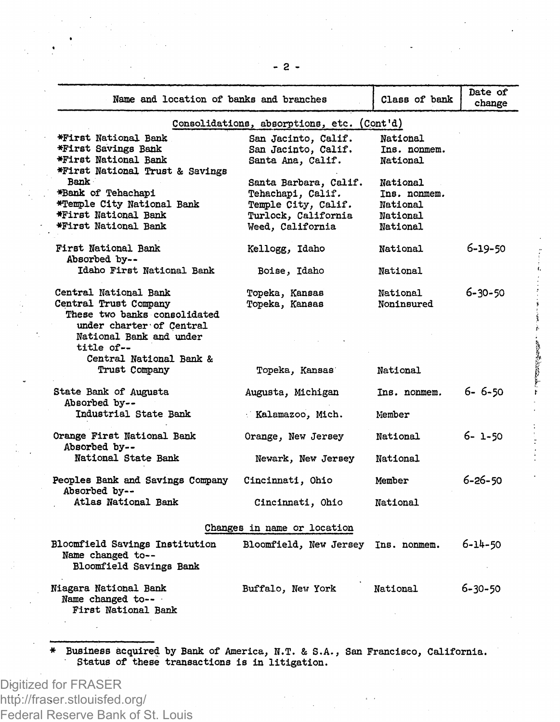| Name and location of banks and branches                                                                         |                                                                                                              | Class of bank                                                       | Date of<br>change |  |
|-----------------------------------------------------------------------------------------------------------------|--------------------------------------------------------------------------------------------------------------|---------------------------------------------------------------------|-------------------|--|
|                                                                                                                 | Consolidations, absorptions, etc. (Cont'd)                                                                   |                                                                     |                   |  |
| *First National Bank<br>*First Savings Bank<br>*First National Bank<br>*First National Trust & Savings          | San Jacinto, Calif.<br>San Jacinto, Calif.<br>Santa Ana, Calif.                                              | National<br>Ins. nonmem.<br>National                                |                   |  |
| Bank<br>*Bank of Tehachapi<br>*Temple City National Bank<br><b>*First National Bank</b><br>*First National Bank | Santa Barbara, Calif.<br>Tehachapi, Calif.<br>Temple City, Calif.<br>Turlock, California<br>Weed, California | <b>National</b><br>Ins. nonmem.<br>National<br>National<br>National |                   |  |
| First National Bank<br>Absorbed by--                                                                            | Kellogg, Idaho                                                                                               | National                                                            | 6-19-50           |  |
| Idaho First National Bank                                                                                       | Boise, Idaho                                                                                                 | National                                                            |                   |  |
| Central National Bank<br>Central Trust Company<br>These two banks consolidated<br>under charter of Central      | Topeka, Kansas<br>Topeka, Kansas                                                                             | National<br>Noninsured                                              | $6 - 30 - 50$     |  |
| National Bank and under<br>title of --                                                                          |                                                                                                              |                                                                     |                   |  |
| Central National Bank &<br>Trust Company                                                                        | Topeka, Kansas                                                                                               | National                                                            |                   |  |
| State Bank of Augusta<br>Absorbed by--                                                                          | Augusta, Michigan                                                                                            | Ins. nonmem.                                                        | 6-6-50            |  |
| Industrial State Bank                                                                                           | Kalamazoo, Mich.                                                                                             | Member                                                              |                   |  |
| Orange First National Bank<br>Absorbed by --                                                                    | Orange, New Jersey                                                                                           | National                                                            | 6-1-50            |  |
| National State Bank                                                                                             | Newark, New Jersey                                                                                           | National                                                            |                   |  |
| Peoples Bank and Savings Company<br>Absorbed by--                                                               | Cincinnati, Ohio                                                                                             | Member                                                              | $6 - 26 - 50$     |  |
| Atlas National Bank                                                                                             | Cincinnati, Ohio                                                                                             | National                                                            |                   |  |
| Changes in name or location                                                                                     |                                                                                                              |                                                                     |                   |  |
| Bloomfield Savings Institution<br>Name changed to --<br>Bloomfield Savings Bank                                 | Bloomfield, New Jersey Ins. nonmem.                                                                          |                                                                     | $6 - 14 - 50$     |  |
| Niagara National Bank<br>Name changed to--<br>First National Bank                                               | Buffalo, New York                                                                                            | National                                                            | 6-30-50           |  |

**CONTROLLER** 

Eusiness acquired by Bank of America, N.T. & S.A., San Francisco, California.<br>Status of these transactions is in litigation.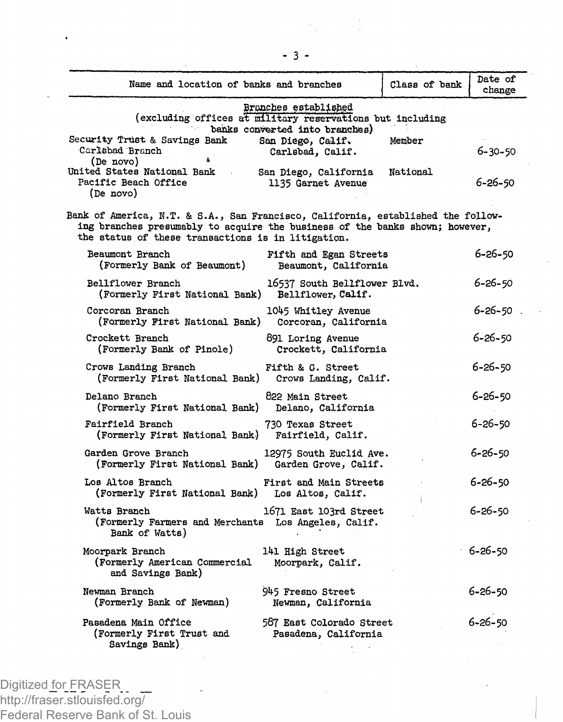| Name and location of banks and branches                                                                                                                                                                                |                                                                         | Class of bank | Date of<br>change |
|------------------------------------------------------------------------------------------------------------------------------------------------------------------------------------------------------------------------|-------------------------------------------------------------------------|---------------|-------------------|
| (excluding offices at military reservations but including                                                                                                                                                              | Bronches established                                                    |               |                   |
| Security Trust & Savings Bank<br>Carlsbad Branch<br>(De novo)                                                                                                                                                          | banks converted into branches)<br>San Diego, Calif.<br>Carlsbad, Calif. | Member        | 6-30-50           |
| United States National Bank<br>Pacific Beach Office<br>(De novo)                                                                                                                                                       | San Diego, California<br>1135 Garnet Avenue                             | National      | 6-26-50           |
| Bank of America, N.T. & S.A., San Francisco, California, established the follow-<br>ing branches presumably to acquire the business of the banks shown; however,<br>the status of these transactions is in litigation. |                                                                         |               |                   |
| Beaumont Branch<br>(Formerly Bank of Beaumont)                                                                                                                                                                         | Fifth and Egan Streets<br>Beaumont, California                          |               | 6-26-50           |
| <b>Bellflower Branch</b><br>(Formerly First National Bank)                                                                                                                                                             | 16537 South Bellflower Blvd.<br>Bellflower, Calif.                      |               | 6-26-50           |
| Corcoran Branch<br>(Formerly First National Bank)                                                                                                                                                                      | 1045 Whitley Avenue<br>Corcoran, California                             |               | $6 - 26 - 50$     |
| Crockett Branch<br>(Formerly Bank of Pinole)                                                                                                                                                                           | 891 Loring Avenue<br>Crockett, California                               |               | $6 - 26 - 50$     |
| Crows Landing Branch<br>(Formerly First National Bank)                                                                                                                                                                 | Fifth & G. Street<br>Crows Landing, Calif.                              |               | 6-26-50           |
| Delano Branch<br>(Formerly First National Bank)                                                                                                                                                                        | 822 Main Street<br>Delano, California                                   |               | $6 - 26 - 50$     |
| Fairfield Branch<br>(Formerly First National Bank)                                                                                                                                                                     | 730 Texas Street<br>Fairfield, Calif.                                   |               | 6-26-50           |
| Garden Grove Branch<br>(Formerly First National Bank)                                                                                                                                                                  | 12975 South Euclid Ave.<br>Garden Grove, Calif.                         |               | 6-26-50           |
| Los Altos Branch<br>(Formerly First National Bank)                                                                                                                                                                     | First and Main Streets<br>Los Altos, Calif.                             |               | $6 - 26 - 50$     |
| Watts Branch<br>(Formerly Farmers and Merchants Los Angeles, Calif.<br>Bank of Watts)                                                                                                                                  | 1671 East 103rd Street                                                  |               | $6 - 26 - 50$     |
| Moorpark Branch<br>(Formerly American Commercial<br>and Savings Bank)                                                                                                                                                  | 141 High Street<br>Moorpark, Calif.                                     |               | $6 - 26 - 50$     |
| Newman Branch<br>(Formerly Bank of Newman)                                                                                                                                                                             | 945 Fresno Street<br>Newman, California                                 |               | 6-26-50           |
| Pasadena Main Office<br>(Formerly First Trust and<br>Savings Bank)                                                                                                                                                     | 587 East Colorado Street<br>Pasadena, California                        |               | $6 - 26 - 50$     |

 $\ddot{\phantom{a}}$ 

- 3 -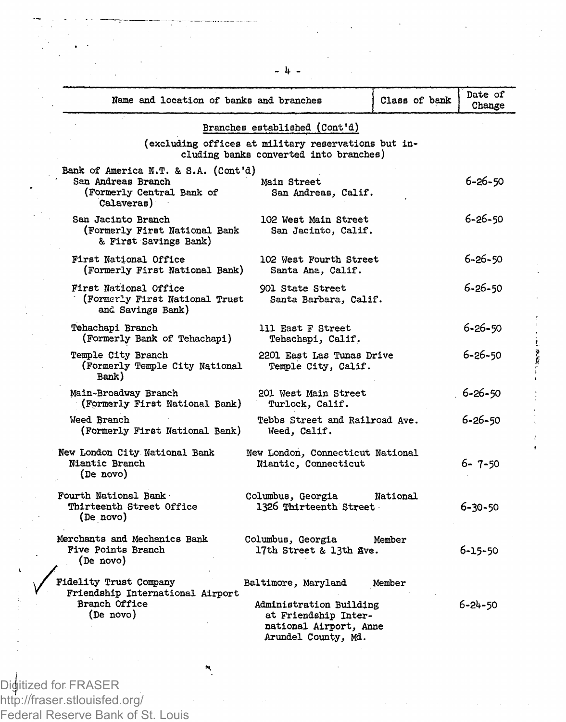| Name and location of banks and branches                                                               |                                                                                                  | Class of bank | Date of<br>Change |
|-------------------------------------------------------------------------------------------------------|--------------------------------------------------------------------------------------------------|---------------|-------------------|
|                                                                                                       | Branches established (Cont'd)<br>(excluding offices at military reservations but in-             |               |                   |
|                                                                                                       | cluding banks converted into branches)                                                           |               |                   |
| Bank of America N.T. & S.A. (Cont'd)<br>San Andreas Branch<br>(Formerly Central Bank of<br>Calaveras) | Main Street<br>San Andreas, Calif.                                                               |               | 6-26-50           |
| San Jacinto Branch<br>(Formerly First National Bank<br>& First Savings Bank)                          | 102 West Main Street<br>San Jacinto, Calif.                                                      |               | 6-26-50           |
| First National Office<br>(Formerly First National Bank)                                               | 102 West Fourth Street<br>Santa Ana, Calif.                                                      |               | $6 - 26 - 50$     |
| First National Office<br>(Formerly First National Trust<br>and Savings Bank)                          | 901 State Street<br>Santa Barbara, Calif.                                                        |               | 6-26-50           |
| Tehachapi Branch<br>(Formerly Bank of Tehachapi)                                                      | 111 East F Street<br>Tehachapi, Calif.                                                           |               | 6-26-50           |
| Temple City Branch<br>(Formerly Temple City National<br>Bank)                                         | 2201 East Las Tunas Drive<br>Temple City, Calif.                                                 |               | 6-26-50           |
| Main-Broadway Branch<br>(Formerly First National Bank)                                                | 201 West Main Street<br>Turlock, Calif.                                                          |               | 6-26-50           |
| Weed Branch<br>(Formerly First National Bank)                                                         | Tebbs Street and Railroad Ave.<br>Weed, Calif.                                                   |               | 6-26-50           |
| New London City National Bank<br>Niantic Branch<br>(De novo)                                          | New London, Connecticut National<br>Niantic, Connecticut                                         |               | $6 - 7 - 50$      |
| Fourth National Bank<br>Thirteenth Street Office<br>(De novo)                                         | Columbus, Georgia<br>1326 Thirteenth Street                                                      | National      | $6 - 30 - 50$     |
| Merchants and Mechanics Bank<br>Five Points Branch<br>(De novo)                                       | Columbus, Georgia<br>17th Street & 13th Ave.                                                     | Member        | 6-15-50           |
| Fidelity Trust Company<br>Friendship International Airport                                            | Baltimore, Maryland                                                                              | Member        |                   |
| Branch Office<br>(De novo)                                                                            | Administration Building<br>at Friendship Inter-<br>national Airport, Anne<br>Arundel County, Md. |               | 6-24-50           |

**SERVER IN** 

Digitized for FRASER http://fraser.stlouisfed.org/ Federal Reserve Bank of St. Louis  $-1$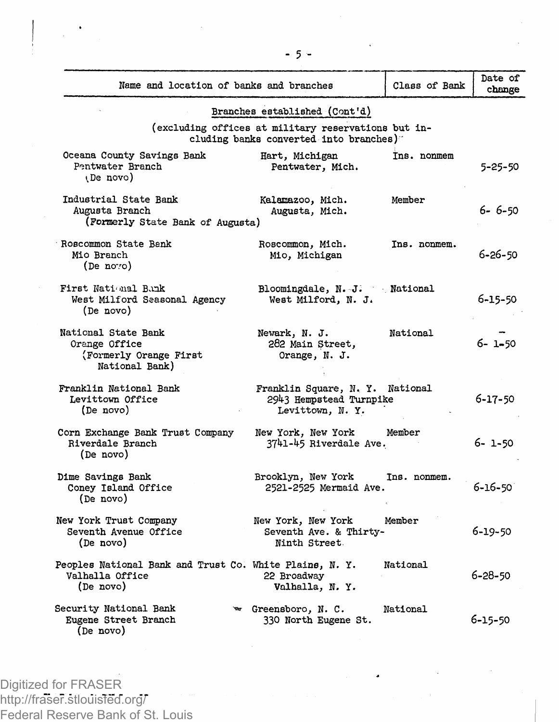| Name and location of banks and branches                                                 |                                                                                               | Class of Bank | Date of<br>change |
|-----------------------------------------------------------------------------------------|-----------------------------------------------------------------------------------------------|---------------|-------------------|
|                                                                                         | Branches established (Cont'd)                                                                 |               |                   |
|                                                                                         | (excluding offices at military reservations but in-<br>cluding banks converted into branches) |               |                   |
| Oceana County Savings Bank<br>Pentwater Branch<br>(De novo)                             | Hart, Michigan<br>Pentwater, Mich.                                                            | Ins. nonmem   | 5-25-50           |
| Industrial State Bank<br>Augusta Branch<br>(Formerly State Bank of Augusta)             | Kalamazoo, Mich.<br>Augusta, Mich.                                                            | Member        | $6 - 6 - 50$      |
| Roscommon State Bank<br>Mio Branch<br>(De no:o)                                         | Roscommon, Mich.<br>Mio, Michigan                                                             | Ins. nonmem.  | $6 - 26 - 50$     |
| First National Bank<br>West Milford Seasonal Agency<br>(De novo)                        | Bloomingdale, N. J. National<br>West Milford, N. J.                                           |               | 6-15-50           |
| National State Bank<br>Orange Office<br>(Formerly Orange First)<br>National Bank)       | Newark, N. J.<br>282 Main Street,<br>Orange, N. J.                                            | National      | $6 - 1 - 50$      |
| Franklin National Bank<br>Levittown Office<br>(De novo)                                 | Franklin Square, N. Y. National<br>2943 Hempstead Turnpike<br>Levittown, N.Y.                 |               | 6-17-50           |
| Corn Exchange Bank Trust Company<br>Riverdale Branch<br>(De novo)                       | New York, New York Member<br>3741-45 Riverdale Ave.                                           |               | 6-1-50            |
| Dime Savings Bank<br>Coney Island Office<br>(De novo)                                   | Brooklyn, New York<br>2521-2525 Mermaid Ave.                                                  | Ins. nonmem.  | 6-16-50           |
| New York Trust Company<br>Seventh Avenue Office<br>(De novo)                            | New York, New York<br>Seventh Ave. & Thirty-<br>Ninth Street.                                 | Member        | 6-19-50           |
| Peoples National Bank and Trust Co. White Plains, N. Y.<br>Valhalla Office<br>(De novo) | 22 Broadway<br>Valhalla, N. Y.                                                                | National      | $6 - 28 - 50$     |
| Security National Bank<br>Eugene Street Branch<br>(De novo)                             | ₩ Greensboro, N. C.<br>330 North Eugene St.                                                   | National      | 6-15-50           |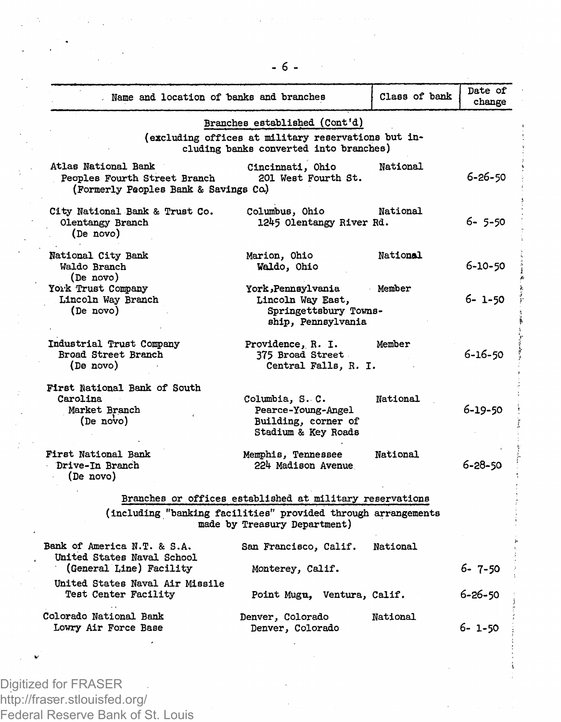| . Name and location of banks and branches                                                    |                                                                                                                                | Class of bank | Date of<br>change |
|----------------------------------------------------------------------------------------------|--------------------------------------------------------------------------------------------------------------------------------|---------------|-------------------|
|                                                                                              | Branches established (Cont'd)<br>(excluding offices at military reservations but in-<br>cluding banks converted into branches) |               |                   |
| Atlas National Bank<br>Peoples Fourth Street Branch<br>(Formerly Peoples Bank & Savings Co.) | Cincinnati, Ohio<br>201 West Fourth St.                                                                                        | National      | 6-26-50           |
| City National Bank & Trust Co.<br>Olentangy Branch<br>(De novo)                              | Columbus, Ohio<br>1245 Olentangy River Rd.                                                                                     | National      | $6 - 5 - 50$      |
| National City Bank<br>Waldo Branch<br>(De novo)                                              | Marion, Ohio<br>Waldo, Ohio                                                                                                    | National      | 6-10-50           |
| York Trust Company<br>Lincoln Way Branch<br>(De novo)                                        | York, Pennsylvania<br>Lincoln Way East,<br>Springettsbury Towns-<br>ship, Pennsylvania                                         | Member        | 6-1-50            |
| Industrial Trust Company<br>Broad Street Branch<br>(De novo)                                 | Providence, R. I.<br>375 Broad Street<br>Central Falls, R. I.                                                                  | Member        | 6-16-50           |
| First National Bank of South<br>Carolina<br>Market Branch<br>(De novo)                       | Columbia, S. C.<br>Pearce-Young-Angel<br>Building, corner of<br>Stadium & Key Roads                                            | National      | 6-19-50           |
| First National Bank<br>Drive-In Branch<br>(De novo)                                          | Memphis, Tennessee<br>224 Madison Avenue                                                                                       | National      | $6 - 28 - 50$     |
|                                                                                              | Branches or offices established at military reservations                                                                       |               |                   |
|                                                                                              | (including "banking facilities" provided through arrangements<br>made by Treasury Department)                                  |               |                   |
| Bank of America N.T. & S.A.<br>United States Naval School<br>(General Line) Facility         | San Francisco, Calif.<br>Monterey, Calif.                                                                                      | National      | 6-7-50            |
| United States Naval Air Missile<br><b>Test Center Facility</b>                               | Point Mugu, Ventura, Calif.                                                                                                    |               | 6-26-50           |
| Colorado National Bank<br>Lowry Air Force Base                                               | Denver, Colorado<br>Denver, Colorado                                                                                           | National      | 6- 1-50           |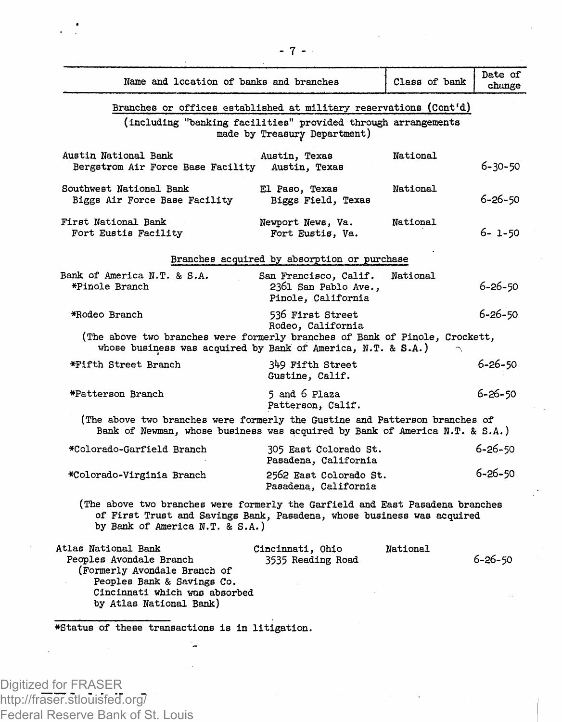| Name and location of banks and branches                                                                                                                                                    |                                                                     | Class of bank | Date of<br>change |
|--------------------------------------------------------------------------------------------------------------------------------------------------------------------------------------------|---------------------------------------------------------------------|---------------|-------------------|
| Branches or offices established at military reservations (Cont'd)<br>(including "banking facilities" provided through arrangements                                                         | made by Treasury Department)                                        |               |                   |
| Austin National Bank<br>Bergstrom Air Force Base Facility                                                                                                                                  | Austin, Texas<br>Austin, Texas                                      | National      | 6-30-50           |
| Southwest National Bank<br>Biggs Air Force Base Facility                                                                                                                                   | El Paso, Texas<br>Biggs Field, Texas                                | National      | 6-26-50           |
| First National Bank<br>Fort Eustis Facility                                                                                                                                                | Newport News, Va.<br>Fort Eustis, Va.                               | National      | 6- 1-50           |
|                                                                                                                                                                                            | Branches acquired by absorption or purchase                         |               |                   |
| Bank of America N.T. & S.A.<br>*Pinole Branch                                                                                                                                              | San Francisco, Calif.<br>2361 San Pablo Ave.,<br>Pinole, California | National      | $6 - 26 - 50$     |
| *Rodeo Branch                                                                                                                                                                              | 536 First Street<br>Rodeo. California                               |               | $6 - 26 - 50$     |
| (The above two branches were formerly branches of Bank of Pinole, Crockett,<br>whose business was acquired by Bank of America, N.T. & S.A.)                                                |                                                                     |               |                   |
| *Fifth Street Branch                                                                                                                                                                       | 349 Fifth Street<br>Gustine, Calif.                                 |               | $6 - 26 - 50$     |
| *Patterson Branch                                                                                                                                                                          | 5 and 6 Plaza<br>Patterson, Calif.                                  |               | $6 - 26 - 50$     |
| (The above two branches were formerly the Gustine and Patterson branches of<br>Bank of Newman, whose business was acquired by Bank of America N.T. & S.A.)                                 |                                                                     |               |                   |
| *Colorado-Garfield Branch                                                                                                                                                                  | 305 East Colorado St.<br>Pasadena, California                       |               | $6 - 26 - 50$     |
| *Colorado-Virginia Branch                                                                                                                                                                  | 2562 East Colorado St.<br>Pasadena, California                      |               | $6 - 26 - 50$     |
| (The above two branches were formerly the Garfield and East Pasadena branches<br>of First Trust and Savings Bank, Pasadena, whose business was acquired<br>by Bank of America N.T. & S.A.) |                                                                     |               |                   |
| Atlas National Bank<br>Peoples Avondale Branch<br>(Formerly Avondale Branch of<br>Peoples Bank & Savings Co.<br>Cincinnati which was absorbed<br>by Atlas National Bank)                   | Cincinnati, Ohio<br>3535 Reading Road                               | National      | 6-26-50           |
| *Status of these transactions is in litigation.                                                                                                                                            |                                                                     |               |                   |
|                                                                                                                                                                                            |                                                                     |               |                   |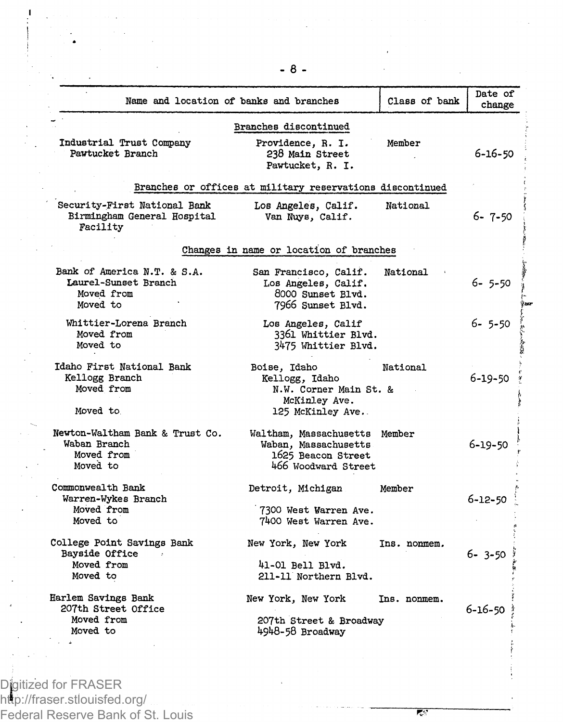|                                                                               | Name and location of banks and branches                                                            | Class of bank | Date of<br>change |
|-------------------------------------------------------------------------------|----------------------------------------------------------------------------------------------------|---------------|-------------------|
|                                                                               | Branches discontinued                                                                              |               |                   |
| Industrial Trust Company<br>Pawtucket Branch                                  | Providence, R. I.<br>238 Main Street<br>Pawtucket, R. I.                                           | Member        | $6 - 16 - 50$     |
|                                                                               | Branches or offices at military reservations discontinued                                          |               |                   |
| Security-First National Bank<br>Birmingham General Hospital<br>Facility       | Los Angeles, Calif.<br>Van Nuys, Calif.                                                            | National      | $6 - 7 - 50$      |
|                                                                               | Changes in name or location of branches                                                            |               |                   |
| Bank of America N.T. & S.A.<br>Laurel-Sunset Branch<br>Moved from<br>Moved to | San Francisco, Calif.<br>Los Angeles, Calif.<br>8000 Sunset Blvd.<br>7966 Sunset Blvd.             | National      | $6 - 5 - 50$      |
| Whittier-Lorena Branch<br>Moved from<br>Moved to                              | Los Angeles, Calif<br>3361 Whittier Blvd.<br>3475 Whittier Blvd.                                   |               | 6-5-50            |
| Idaho First National Bank<br>Kellogg Branch<br>Moved from<br>Moved to         | Boise, Idaho<br>Kellogg, Idaho<br>N.W. Corner Main St. &<br>McKinley Ave.<br>125 McKinley Ave.     | National      | 6-19-50           |
| Newton-Waltham Bank & Trust Co.<br>Waban Branch<br>Moved from<br>Moved to     | Waltham, Massachusetts Member<br>Waban, Massachusetts<br>1625 Beacon Street<br>466 Woodward Street |               | 6-19-50           |
| Commonwealth Bank<br>Warren-Wykes Branch<br>Moved from<br>Moved to            | Detroit, Michigan<br>7300 West Warren Ave.<br>7400 West Warren Ave.                                | Member        | $6 - 12 - 50$     |
| College Point Savings Bank<br>Bayside Office<br>Moved from<br>Moved to        | New York, New York<br>41-01 Bell Blvd.<br>211-11 Northern Blvd.                                    | Ins. nonmem.  | $6 - 3 - 50$      |
| Harlem Savings Bank<br>207th Street Office<br>Moved from<br>Moved to          | New York, New York<br>207th Street & Broadway<br>4948-58 Broadway                                  | Ins. nonmem.  | 6-16-50           |

 $\mathbf{I}$ 

**- 8 -**

हर